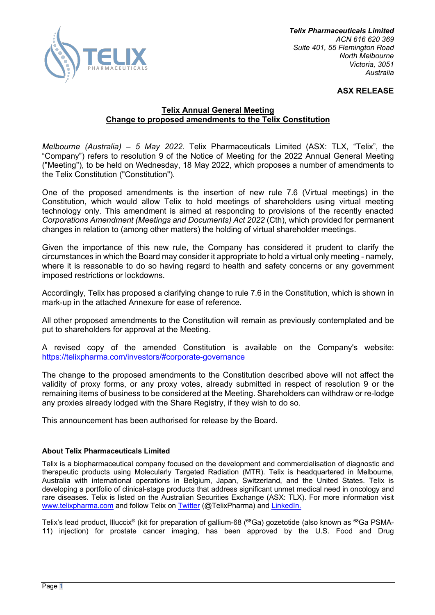

# **ASX RELEASE**

# **Telix Annual General Meeting Change to proposed amendments to the Telix Constitution**

*Melbourne (Australia) – 5 May 2022*. Telix Pharmaceuticals Limited (ASX: TLX, "Telix", the "Company") refers to resolution 9 of the Notice of Meeting for the 2022 Annual General Meeting ("Meeting"), to be held on Wednesday, 18 May 2022, which proposes a number of amendments to the Telix Constitution ("Constitution").

One of the proposed amendments is the insertion of new rule 7.6 (Virtual meetings) in the Constitution, which would allow Telix to hold meetings of shareholders using virtual meeting technology only. This amendment is aimed at responding to provisions of the recently enacted *Corporations Amendment (Meetings and Documents) Act 2022* (Cth), which provided for permanent changes in relation to (among other matters) the holding of virtual shareholder meetings.

Given the importance of this new rule, the Company has considered it prudent to clarify the circumstances in which the Board may consider it appropriate to hold a virtual only meeting - namely, where it is reasonable to do so having regard to health and safety concerns or any government imposed restrictions or lockdowns.

Accordingly, Telix has proposed a clarifying change to rule 7.6 in the Constitution, which is shown in mark-up in the attached Annexure for ease of reference.

All other proposed amendments to the Constitution will remain as previously contemplated and be put to shareholders for approval at the Meeting.

A revised copy of the amended Constitution is available on the Company's website: https://telixpharma.com/investors/#corporate-governance

The change to the proposed amendments to the Constitution described above will not affect the validity of proxy forms, or any proxy votes, already submitted in respect of resolution 9 or the remaining items of business to be considered at the Meeting. Shareholders can withdraw or re-lodge any proxies already lodged with the Share Registry, if they wish to do so.

This announcement has been authorised for release by the Board.

## **About Telix Pharmaceuticals Limited**

Telix is a biopharmaceutical company focused on the development and commercialisation of diagnostic and therapeutic products using Molecularly Targeted Radiation (MTR). Telix is headquartered in Melbourne, Australia with international operations in Belgium, Japan, Switzerland, and the United States. Telix is developing a portfolio of clinical-stage products that address significant unmet medical need in oncology and rare diseases. Telix is listed on the Australian Securities Exchange (ASX: TLX). For more information visit www.telixpharma.com and follow Telix on Twitter (@TelixPharma) and LinkedIn.

Telix's lead product, Illuccix® (kit for preparation of gallium-68 (<sup>68</sup>Ga) gozetotide (also known as <sup>68</sup>Ga PSMA-11) injection) for prostate cancer imaging, has been approved by the U.S. Food and Drug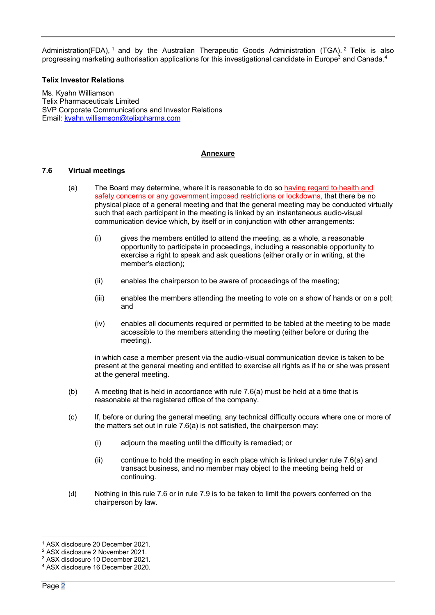Administration(FDA), <sup>1</sup> and by the Australian Therapeutic Goods Administration (TGA). <sup>2</sup> Telix is also progressing marketing authorisation applications for this investigational candidate in Europe<sup>3</sup> and Canada.<sup>4</sup>

### **Telix Investor Relations**

Ms. Kyahn Williamson Telix Pharmaceuticals Limited SVP Corporate Communications and Investor Relations Email: kyahn.williamson@telixpharma.com

### **Annexure**

### **7.6 Virtual meetings**

- (a) The Board may determine, where it is reasonable to do so having regard to health and safety concerns or any government imposed restrictions or lockdowns, that there be no physical place of a general meeting and that the general meeting may be conducted virtually such that each participant in the meeting is linked by an instantaneous audio-visual communication device which, by itself or in conjunction with other arrangements:
	- (i) gives the members entitled to attend the meeting, as a whole, a reasonable opportunity to participate in proceedings, including a reasonable opportunity to exercise a right to speak and ask questions (either orally or in writing, at the member's election);
	- (ii) enables the chairperson to be aware of proceedings of the meeting;
	- (iii) enables the members attending the meeting to vote on a show of hands or on a poll; and
	- (iv) enables all documents required or permitted to be tabled at the meeting to be made accessible to the members attending the meeting (either before or during the meeting).

in which case a member present via the audio-visual communication device is taken to be present at the general meeting and entitled to exercise all rights as if he or she was present at the general meeting.

- (b) A meeting that is held in accordance with rule 7.6(a) must be held at a time that is reasonable at the registered office of the company.
- (c) If, before or during the general meeting, any technical difficulty occurs where one or more of the matters set out in rule 7.6(a) is not satisfied, the chairperson may:
	- (i) adjourn the meeting until the difficulty is remedied; or
	- $(i)$  continue to hold the meeting in each place which is linked under rule 7.6(a) and transact business, and no member may object to the meeting being held or continuing.
- (d) Nothing in this rule 7.6 or in rule 7.9 is to be taken to limit the powers conferred on the chairperson by law.

<sup>1</sup> ASX disclosure 20 December 2021.

<sup>2</sup> ASX disclosure 2 November 2021.

<sup>3</sup> ASX disclosure 10 December 2021.

<sup>4</sup> ASX disclosure 16 December 2020.